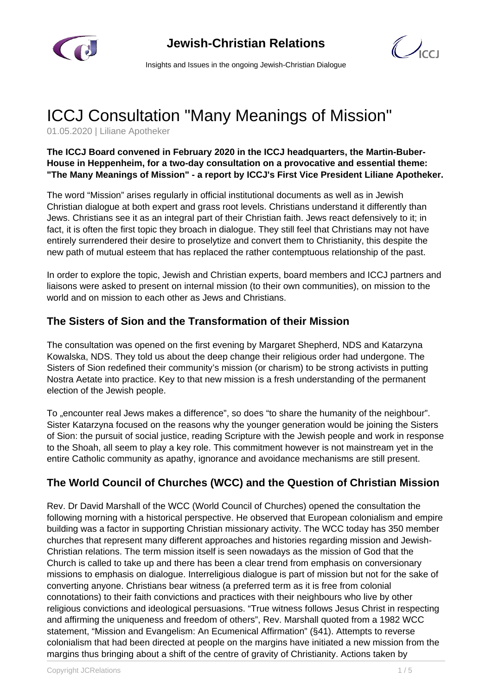



Insights and Issues in the ongoing Jewish-Christian Dialogue

# ICCJ Consultation "Many Meanings of Mission"

01.05.2020 | Liliane Apotheker

#### **The ICCJ Board convened in February 2020 in the ICCJ headquarters, the Martin-Buber-House in Heppenheim, for a two-day consultation on a provocative and essential theme: "The Many Meanings of Mission" - a report by ICCJ's First Vice President Liliane Apotheker.**

The word "Mission" arises regularly in official institutional documents as well as in Jewish Christian dialogue at both expert and grass root levels. Christians understand it differently than Jews. Christians see it as an integral part of their Christian faith. Jews react defensively to it; in fact, it is often the first topic they broach in dialogue. They still feel that Christians may not have entirely surrendered their desire to proselytize and convert them to Christianity, this despite the new path of mutual esteem that has replaced the rather contemptuous relationship of the past.

In order to explore the topic, Jewish and Christian experts, board members and ICCJ partners and liaisons were asked to present on internal mission (to their own communities), on mission to the world and on mission to each other as Jews and Christians.

#### **The Sisters of Sion and the Transformation of their Mission**

The consultation was opened on the first evening by Margaret Shepherd, NDS and Katarzyna Kowalska, NDS. They told us about the deep change their religious order had undergone. The Sisters of Sion redefined their community's mission (or charism) to be strong activists in putting Nostra Aetate into practice. Key to that new mission is a fresh understanding of the permanent election of the Jewish people.

To "encounter real Jews makes a difference", so does "to share the humanity of the neighbour". Sister Katarzyna focused on the reasons why the younger generation would be joining the Sisters of Sion: the pursuit of social justice, reading Scripture with the Jewish people and work in response to the Shoah, all seem to play a key role. This commitment however is not mainstream yet in the entire Catholic community as apathy, ignorance and avoidance mechanisms are still present.

## **The World Council of Churches (WCC) and the Question of Christian Mission**

Rev. Dr David Marshall of the WCC (World Council of Churches) opened the consultation the following morning with a historical perspective. He observed that European colonialism and empire building was a factor in supporting Christian missionary activity. The WCC today has 350 member churches that represent many different approaches and histories regarding mission and Jewish-Christian relations. The term mission itself is seen nowadays as the mission of God that the Church is called to take up and there has been a clear trend from emphasis on conversionary missions to emphasis on dialogue. Interreligious dialogue is part of mission but not for the sake of converting anyone. Christians bear witness (a preferred term as it is free from colonial connotations) to their faith convictions and practices with their neighbours who live by other religious convictions and ideological persuasions. "True witness follows Jesus Christ in respecting and affirming the uniqueness and freedom of others", Rev. Marshall quoted from a 1982 WCC statement, "Mission and Evangelism: An Ecumenical Affirmation" (§41). Attempts to reverse colonialism that had been directed at people on the margins have initiated a new mission from the margins thus bringing about a shift of the centre of gravity of Christianity. Actions taken by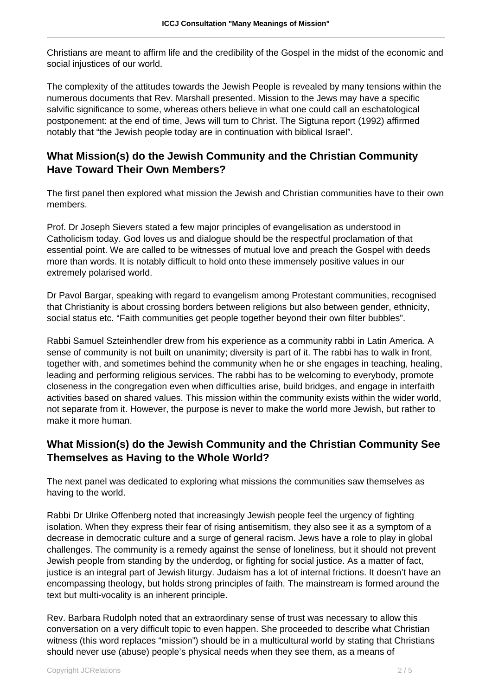Christians are meant to affirm life and the credibility of the Gospel in the midst of the economic and social injustices of our world.

The complexity of the attitudes towards the Jewish People is revealed by many tensions within the numerous documents that Rev. Marshall presented. Mission to the Jews may have a specific salvific significance to some, whereas others believe in what one could call an eschatological postponement: at the end of time, Jews will turn to Christ. The Sigtuna report (1992) affirmed notably that "the Jewish people today are in continuation with biblical Israel".

#### **What Mission(s) do the Jewish Community and the Christian Community Have Toward Their Own Members?**

The first panel then explored what mission the Jewish and Christian communities have to their own members.

Prof. Dr Joseph Sievers stated a few major principles of evangelisation as understood in Catholicism today. God loves us and dialogue should be the respectful proclamation of that essential point. We are called to be witnesses of mutual love and preach the Gospel with deeds more than words. It is notably difficult to hold onto these immensely positive values in our extremely polarised world.

Dr Pavol Bargar, speaking with regard to evangelism among Protestant communities, recognised that Christianity is about crossing borders between religions but also between gender, ethnicity, social status etc. "Faith communities get people together beyond their own filter bubbles".

Rabbi Samuel Szteinhendler drew from his experience as a community rabbi in Latin America. A sense of community is not built on unanimity; diversity is part of it. The rabbi has to walk in front, together with, and sometimes behind the community when he or she engages in teaching, healing, leading and performing religious services. The rabbi has to be welcoming to everybody, promote closeness in the congregation even when difficulties arise, build bridges, and engage in interfaith activities based on shared values. This mission within the community exists within the wider world, not separate from it. However, the purpose is never to make the world more Jewish, but rather to make it more human.

### **What Mission(s) do the Jewish Community and the Christian Community See Themselves as Having to the Whole World?**

The next panel was dedicated to exploring what missions the communities saw themselves as having to the world.

Rabbi Dr Ulrike Offenberg noted that increasingly Jewish people feel the urgency of fighting isolation. When they express their fear of rising antisemitism, they also see it as a symptom of a decrease in democratic culture and a surge of general racism. Jews have a role to play in global challenges. The community is a remedy against the sense of loneliness, but it should not prevent Jewish people from standing by the underdog, or fighting for social justice. As a matter of fact, justice is an integral part of Jewish liturgy. Judaism has a lot of internal frictions. It doesn't have an encompassing theology, but holds strong principles of faith. The mainstream is formed around the text but multi-vocality is an inherent principle.

Rev. Barbara Rudolph noted that an extraordinary sense of trust was necessary to allow this conversation on a very difficult topic to even happen. She proceeded to describe what Christian witness (this word replaces "mission") should be in a multicultural world by stating that Christians should never use (abuse) people's physical needs when they see them, as a means of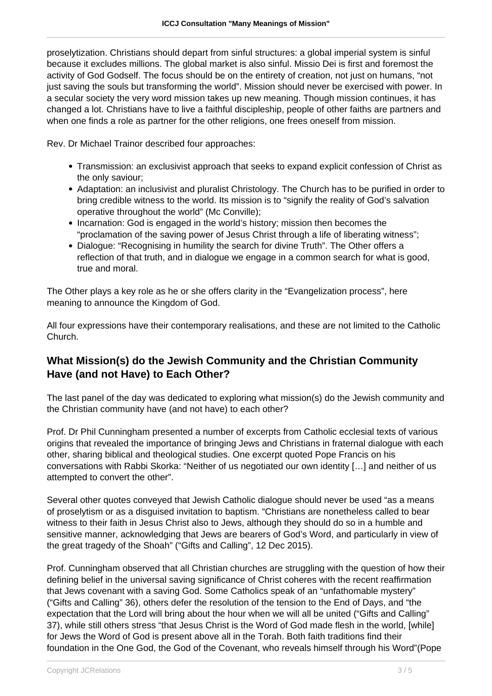proselytization. Christians should depart from sinful structures: a global imperial system is sinful because it excludes millions. The global market is also sinful. Missio Dei is first and foremost the activity of God Godself. The focus should be on the entirety of creation, not just on humans, "not just saving the souls but transforming the world". Mission should never be exercised with power. In a secular society the very word mission takes up new meaning. Though mission continues, it has changed a lot. Christians have to live a faithful discipleship, people of other faiths are partners and when one finds a role as partner for the other religions, one frees oneself from mission.

Rev. Dr Michael Trainor described four approaches:

- Transmission: an exclusivist approach that seeks to expand explicit confession of Christ as the only saviour;
- Adaptation: an inclusivist and pluralist Christology. The Church has to be purified in order to bring credible witness to the world. Its mission is to "signify the reality of God's salvation operative throughout the world" (Mc Conville);
- Incarnation: God is engaged in the world's history; mission then becomes the "proclamation of the saving power of Jesus Christ through a life of liberating witness";
- Dialogue: "Recognising in humility the search for divine Truth". The Other offers a reflection of that truth, and in dialogue we engage in a common search for what is good, true and moral.

The Other plays a key role as he or she offers clarity in the "Evangelization process", here meaning to announce the Kingdom of God.

All four expressions have their contemporary realisations, and these are not limited to the Catholic Church.

#### **What Mission(s) do the Jewish Community and the Christian Community Have (and not Have) to Each Other?**

The last panel of the day was dedicated to exploring what mission(s) do the Jewish community and the Christian community have (and not have) to each other?

Prof. Dr Phil Cunningham presented a number of excerpts from Catholic ecclesial texts of various origins that revealed the importance of bringing Jews and Christians in fraternal dialogue with each other, sharing biblical and theological studies. One excerpt quoted Pope Francis on his conversations with Rabbi Skorka: "Neither of us negotiated our own identity […] and neither of us attempted to convert the other".

Several other quotes conveyed that Jewish Catholic dialogue should never be used "as a means of proselytism or as a disguised invitation to baptism. "Christians are nonetheless called to bear witness to their faith in Jesus Christ also to Jews, although they should do so in a humble and sensitive manner, acknowledging that Jews are bearers of God's Word, and particularly in view of the great tragedy of the Shoah" ("Gifts and Calling", 12 Dec 2015).

Prof. Cunningham observed that all Christian churches are struggling with the question of how their defining belief in the universal saving significance of Christ coheres with the recent reaffirmation that Jews covenant with a saving God. Some Catholics speak of an "unfathomable mystery" ("Gifts and Calling" 36), others defer the resolution of the tension to the End of Days, and "the expectation that the Lord will bring about the hour when we will all be united ("Gifts and Calling" 37), while still others stress "that Jesus Christ is the Word of God made flesh in the world, [while] for Jews the Word of God is present above all in the Torah. Both faith traditions find their foundation in the One God, the God of the Covenant, who reveals himself through his Word"(Pope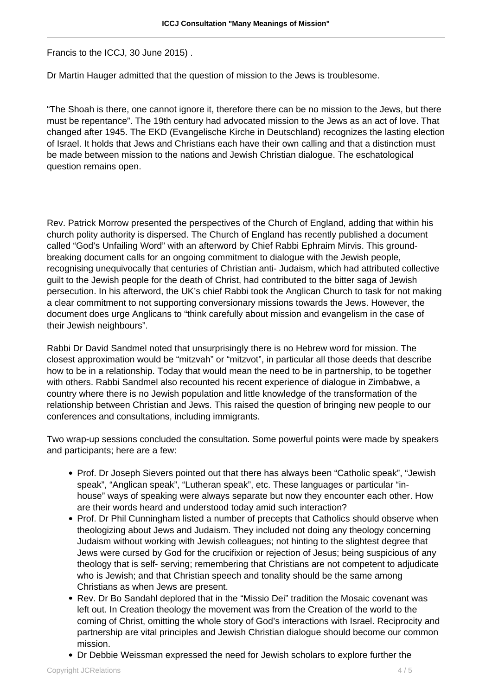Francis to the ICCJ, 30 June 2015) .

Dr Martin Hauger admitted that the question of mission to the Jews is troublesome.

"The Shoah is there, one cannot ignore it, therefore there can be no mission to the Jews, but there must be repentance". The 19th century had advocated mission to the Jews as an act of love. That changed after 1945. The EKD (Evangelische Kirche in Deutschland) recognizes the lasting election of Israel. It holds that Jews and Christians each have their own calling and that a distinction must be made between mission to the nations and Jewish Christian dialogue. The eschatological question remains open.

Rev. Patrick Morrow presented the perspectives of the Church of England, adding that within his church polity authority is dispersed. The Church of England has recently published a document called "God's Unfailing Word" with an afterword by Chief Rabbi Ephraim Mirvis. This groundbreaking document calls for an ongoing commitment to dialogue with the Jewish people, recognising unequivocally that centuries of Christian anti- Judaism, which had attributed collective guilt to the Jewish people for the death of Christ, had contributed to the bitter saga of Jewish persecution. In his afterword, the UK's chief Rabbi took the Anglican Church to task for not making a clear commitment to not supporting conversionary missions towards the Jews. However, the document does urge Anglicans to "think carefully about mission and evangelism in the case of their Jewish neighbours".

Rabbi Dr David Sandmel noted that unsurprisingly there is no Hebrew word for mission. The closest approximation would be "mitzvah" or "mitzvot", in particular all those deeds that describe how to be in a relationship. Today that would mean the need to be in partnership, to be together with others. Rabbi Sandmel also recounted his recent experience of dialogue in Zimbabwe, a country where there is no Jewish population and little knowledge of the transformation of the relationship between Christian and Jews. This raised the question of bringing new people to our conferences and consultations, including immigrants.

Two wrap-up sessions concluded the consultation. Some powerful points were made by speakers and participants; here are a few:

- Prof. Dr Joseph Sievers pointed out that there has always been "Catholic speak", "Jewish speak", "Anglican speak", "Lutheran speak", etc. These languages or particular "inhouse" ways of speaking were always separate but now they encounter each other. How are their words heard and understood today amid such interaction?
- Prof. Dr Phil Cunningham listed a number of precepts that Catholics should observe when theologizing about Jews and Judaism. They included not doing any theology concerning Judaism without working with Jewish colleagues; not hinting to the slightest degree that Jews were cursed by God for the crucifixion or rejection of Jesus; being suspicious of any theology that is self- serving; remembering that Christians are not competent to adjudicate who is Jewish; and that Christian speech and tonality should be the same among Christians as when Jews are present.
- Rev. Dr Bo Sandahl deplored that in the "Missio Dei" tradition the Mosaic covenant was left out. In Creation theology the movement was from the Creation of the world to the coming of Christ, omitting the whole story of God's interactions with Israel. Reciprocity and partnership are vital principles and Jewish Christian dialogue should become our common mission.
- Dr Debbie Weissman expressed the need for Jewish scholars to explore further the